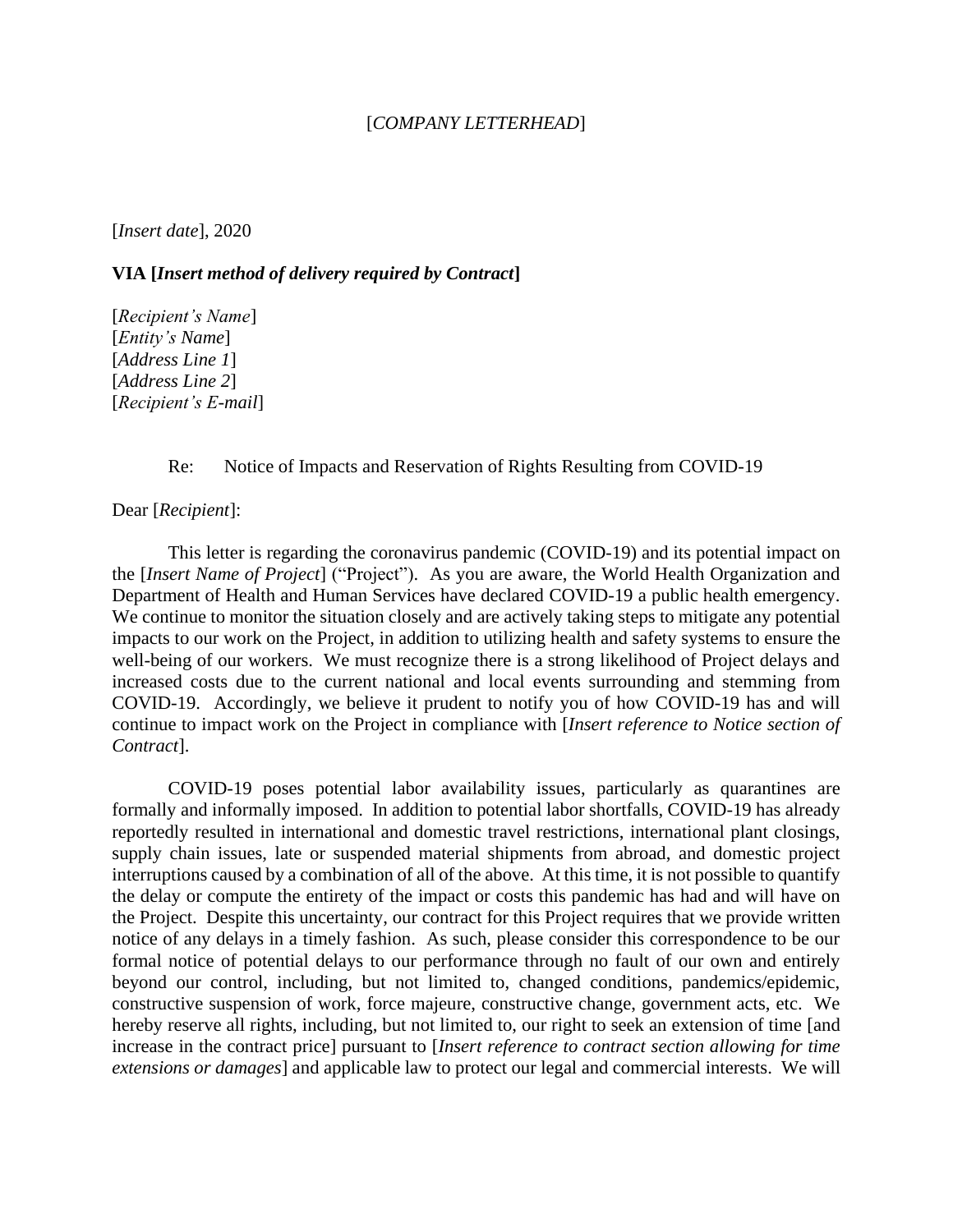## [*COMPANY LETTERHEAD*]

[*Insert date*], 2020

## **VIA [***Insert method of delivery required by Contract***]**

[*Recipient's Name*] [*Entity's Name*] [*Address Line 1*] [*Address Line 2*] [*Recipient's E-mail*]

## Re: Notice of Impacts and Reservation of Rights Resulting from COVID-19

Dear [*Recipient*]:

This letter is regarding the coronavirus pandemic (COVID-19) and its potential impact on the [*Insert Name of Project*] ("Project"). As you are aware, the World Health Organization and Department of Health and Human Services have declared COVID-19 a public health emergency. We continue to monitor the situation closely and are actively taking steps to mitigate any potential impacts to our work on the Project, in addition to utilizing health and safety systems to ensure the well-being of our workers. We must recognize there is a strong likelihood of Project delays and increased costs due to the current national and local events surrounding and stemming from COVID-19. Accordingly, we believe it prudent to notify you of how COVID-19 has and will continue to impact work on the Project in compliance with [*Insert reference to Notice section of Contract*].

COVID-19 poses potential labor availability issues, particularly as quarantines are formally and informally imposed. In addition to potential labor shortfalls, COVID-19 has already reportedly resulted in international and domestic travel restrictions, international plant closings, supply chain issues, late or suspended material shipments from abroad, and domestic project interruptions caused by a combination of all of the above. At this time, it is not possible to quantify the delay or compute the entirety of the impact or costs this pandemic has had and will have on the Project. Despite this uncertainty, our contract for this Project requires that we provide written notice of any delays in a timely fashion. As such, please consider this correspondence to be our formal notice of potential delays to our performance through no fault of our own and entirely beyond our control, including, but not limited to, changed conditions, pandemics/epidemic, constructive suspension of work, force majeure, constructive change, government acts, etc. We hereby reserve all rights, including, but not limited to, our right to seek an extension of time [and increase in the contract price] pursuant to [*Insert reference to contract section allowing for time extensions or damages*] and applicable law to protect our legal and commercial interests. We will